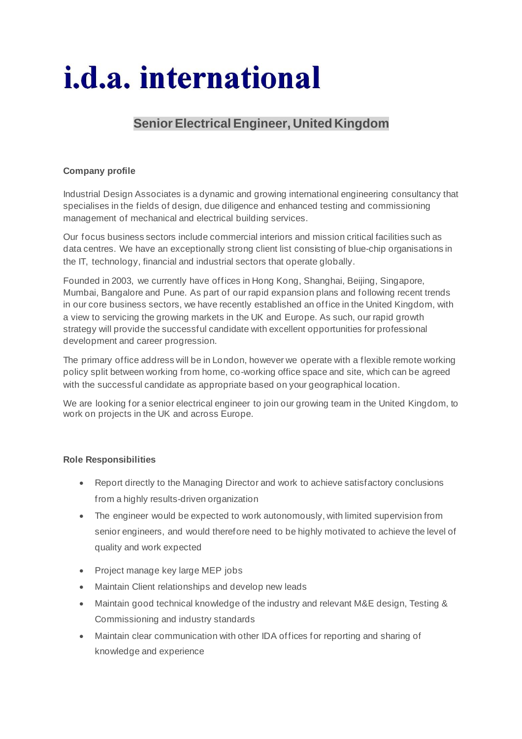# *i.d.a.* international

## **Senior Electrical Engineer, United Kingdom**

### **Company profile**

Industrial Design Associates is a dynamic and growing international engineering consultancy that specialises in the fields of design, due diligence and enhanced testing and commissioning management of mechanical and electrical building services.

Our focus business sectors include commercial interiors and mission critical facilities such as data centres. We have an exceptionally strong client list consisting of blue-chip organisations in the IT, technology, financial and industrial sectors that operate globally.

Founded in 2003, we currently have offices in Hong Kong, Shanghai, Beijing, Singapore, Mumbai, Bangalore and Pune. As part of our rapid expansion plans and following recent trends in our core business sectors, we have recently established an office in the United Kingdom, with a view to servicing the growing markets in the UK and Europe. As such, our rapid growth strategy will provide the successful candidate with excellent opportunities for professional development and career progression.

The primary office address will be in London, however we operate with a flexible remote working policy split between working from home, co-working office space and site, which can be agreed with the successful candidate as appropriate based on your geographical location.

We are looking for a senior electrical engineer to join our growing team in the United Kingdom, to work on projects in the UK and across Europe.

#### **Role Responsibilities**

- Report directly to the Managing Director and work to achieve satisfactory conclusions from a highly results-driven organization
- The engineer would be expected to work autonomously, with limited supervision from senior engineers, and would therefore need to be highly motivated to achieve the level of quality and work expected
- Project manage key large MEP jobs
- Maintain Client relationships and develop new leads
- Maintain good technical knowledge of the industry and relevant M&E design, Testing & Commissioning and industry standards
- Maintain clear communication with other IDA offices for reporting and sharing of knowledge and experience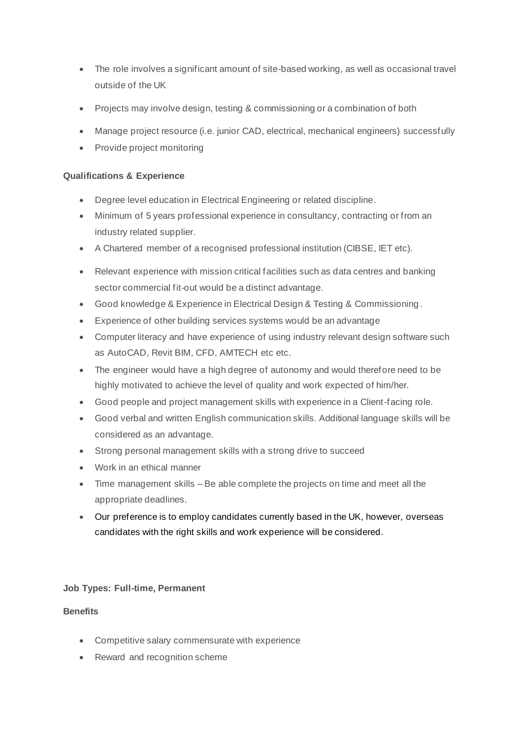- The role involves a significant amount of site-based working, as well as occasional travel outside of the UK
- Projects may involve design, testing & commissioning or a combination of both
- Manage project resource (i.e. junior CAD, electrical, mechanical engineers) successfully
- Provide project monitoring

#### **Qualifications & Experience**

- Degree level education in Electrical Engineering or related discipline.
- Minimum of 5 years professional experience in consultancy, contracting or from an industry related supplier.
- A Chartered member of a recognised professional institution (CIBSE, IET etc).
- Relevant experience with mission critical facilities such as data centres and banking sector commercial fit-out would be a distinct advantage.
- Good knowledge & Experience in Electrical Design & Testing & Commissioning .
- Experience of other building services systems would be an advantage
- Computer literacy and have experience of using industry relevant design software such as AutoCAD, Revit BIM, CFD, AMTECH etc etc.
- The engineer would have a high degree of autonomy and would therefore need to be highly motivated to achieve the level of quality and work expected of him/her.
- Good people and project management skills with experience in a Client-facing role.
- Good verbal and written English communication skills. Additional language skills will be considered as an advantage.
- Strong personal management skills with a strong drive to succeed
- Work in an ethical manner
- Time management skills Be able complete the projects on time and meet all the appropriate deadlines.
- Our preference is to employ candidates currently based in the UK, however, overseas candidates with the right skills and work experience will be considered.

#### **Job Types: Full-time, Permanent**

#### **Benefits**

- Competitive salary commensurate with experience
- Reward and recognition scheme